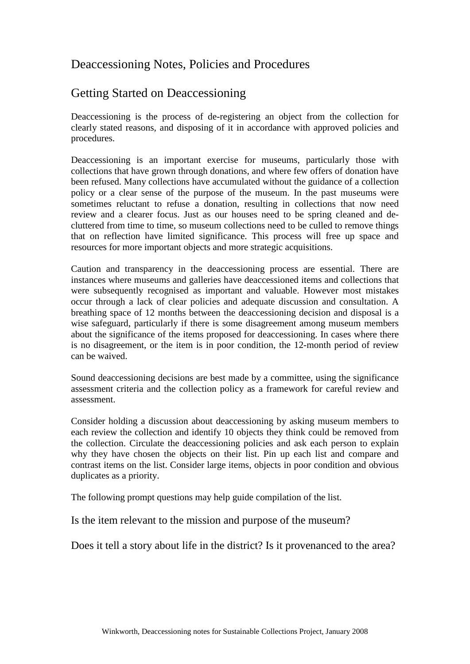## Deaccessioning Notes, Policies and Procedures

## Getting Started on Deaccessioning

Deaccessioning is the process of de-registering an object from the collection for clearly stated reasons, and disposing of it in accordance with approved policies and procedures.

Deaccessioning is an important exercise for museums, particularly those with collections that have grown through donations, and where few offers of donation have been refused. Many collections have accumulated without the guidance of a collection policy or a clear sense of the purpose of the museum. In the past museums were sometimes reluctant to refuse a donation, resulting in collections that now need review and a clearer focus. Just as our houses need to be spring cleaned and decluttered from time to time, so museum collections need to be culled to remove things that on reflection have limited significance. This process will free up space and resources for more important objects and more strategic acquisitions.

Caution and transparency in the deaccessioning process are essential. There are instances where museums and galleries have deaccessioned items and collections that were subsequently recognised as important and valuable. However most mistakes occur through a lack of clear policies and adequate discussion and consultation. A breathing space of 12 months between the deaccessioning decision and disposal is a wise safeguard, particularly if there is some disagreement among museum members about the significance of the items proposed for deaccessioning. In cases where there is no disagreement, or the item is in poor condition, the 12-month period of review can be waived.

Sound deaccessioning decisions are best made by a committee, using the significance assessment criteria and the collection policy as a framework for careful review and assessment.

Consider holding a discussion about deaccessioning by asking museum members to each review the collection and identify 10 objects they think could be removed from the collection. Circulate the deaccessioning policies and ask each person to explain why they have chosen the objects on their list. Pin up each list and compare and contrast items on the list. Consider large items, objects in poor condition and obvious duplicates as a priority.

The following prompt questions may help guide compilation of the list.

Is the item relevant to the mission and purpose of the museum?

Does it tell a story about life in the district? Is it provenanced to the area?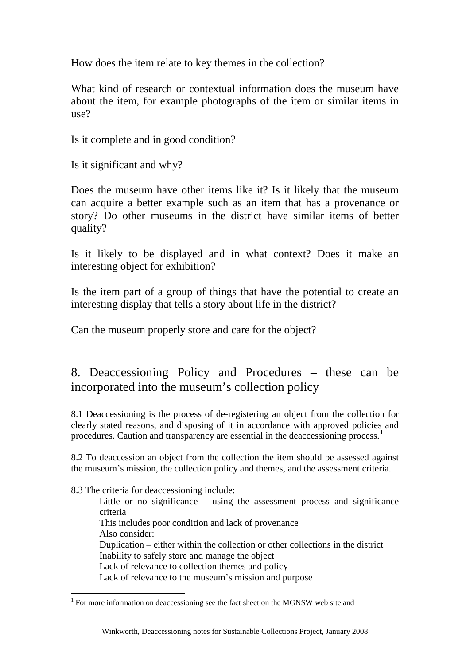How does the item relate to key themes in the collection?

What kind of research or contextual information does the museum have about the item, for example photographs of the item or similar items in use?

Is it complete and in good condition?

Is it significant and why?

Does the museum have other items like it? Is it likely that the museum can acquire a better example such as an item that has a provenance or story? Do other museums in the district have similar items of better quality?

Is it likely to be displayed and in what context? Does it make an interesting object for exhibition?

Is the item part of a group of things that have the potential to create an interesting display that tells a story about life in the district?

Can the museum properly store and care for the object?

## 8. Deaccessioning Policy and Procedures – these can be incorporated into the museum's collection policy

8.1 Deaccessioning is the process of de-registering an object from the collection for clearly stated reasons, and disposing of it in accordance with approved policies and procedures. Caution and transparency are essential in the deaccessioning process.<sup>[1](#page-1-0)</sup>

8.2 To deaccession an object from the collection the item should be assessed against the museum's mission, the collection policy and themes, and the assessment criteria.

8.3 The criteria for deaccessioning include:

Little or no significance – using the assessment process and significance criteria This includes poor condition and lack of provenance Also consider: Duplication – either within the collection or other collections in the district Inability to safely store and manage the object Lack of relevance to collection themes and policy Lack of relevance to the museum's mission and purpose

<span id="page-1-0"></span><sup>&</sup>lt;sup>1</sup> For more information on deaccessioning see the fact sheet on the MGNSW web site and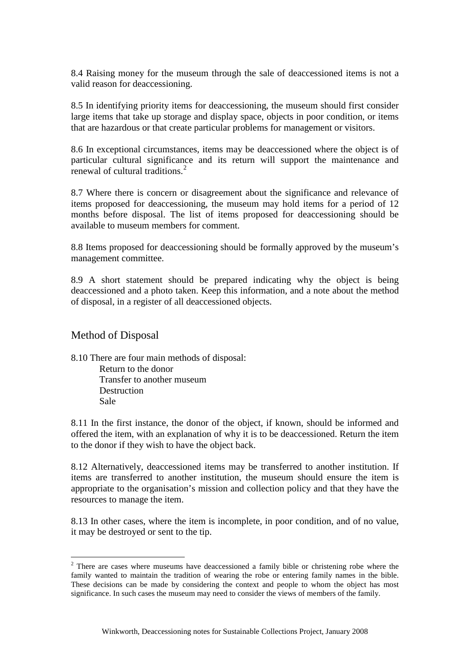8.4 Raising money for the museum through the sale of deaccessioned items is not a valid reason for deaccessioning.

8.5 In identifying priority items for deaccessioning, the museum should first consider large items that take up storage and display space, objects in poor condition, or items that are hazardous or that create particular problems for management or visitors.

8.6 In exceptional circumstances, items may be deaccessioned where the object is of particular cultural significance and its return will support the maintenance and renewal of cultural traditions.<sup>[2](#page-2-0)</sup>

8.7 Where there is concern or disagreement about the significance and relevance of items proposed for deaccessioning, the museum may hold items for a period of 12 months before disposal. The list of items proposed for deaccessioning should be available to museum members for comment.

8.8 Items proposed for deaccessioning should be formally approved by the museum's management committee.

8.9 A short statement should be prepared indicating why the object is being deaccessioned and a photo taken. Keep this information, and a note about the method of disposal, in a register of all deaccessioned objects.

## Method of Disposal

8.10 There are four main methods of disposal: Return to the donor

Transfer to another museum **Destruction** Sale

8.11 In the first instance, the donor of the object, if known, should be informed and offered the item, with an explanation of why it is to be deaccessioned. Return the item to the donor if they wish to have the object back.

8.12 Alternatively, deaccessioned items may be transferred to another institution. If items are transferred to another institution, the museum should ensure the item is appropriate to the organisation's mission and collection policy and that they have the resources to manage the item.

8.13 In other cases, where the item is incomplete, in poor condition, and of no value, it may be destroyed or sent to the tip.

<span id="page-2-0"></span><sup>&</sup>lt;sup>2</sup> There are cases where museums have deaccessioned a family bible or christening robe where the family wanted to maintain the tradition of wearing the robe or entering family names in the bible. These decisions can be made by considering the context and people to whom the object has most significance. In such cases the museum may need to consider the views of members of the family.